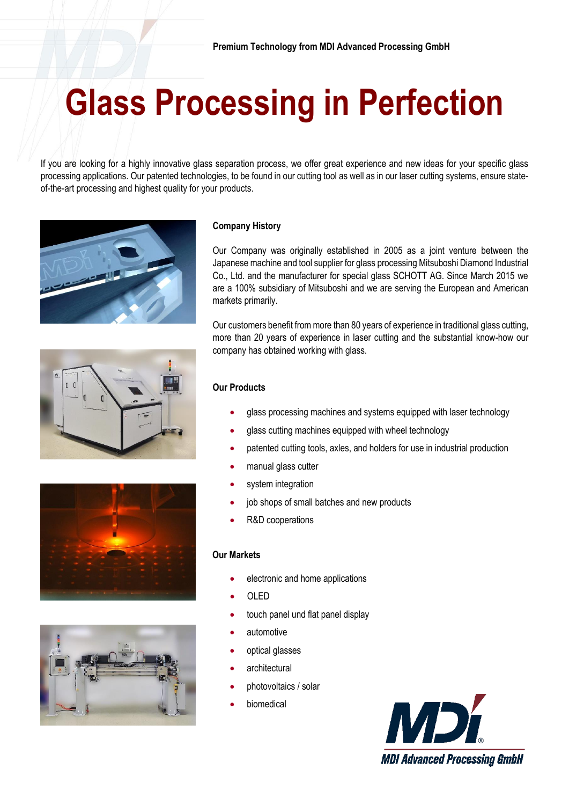# **Glass Processing in Perfection**

If you are looking for a highly innovative glass separation process, we offer great experience and new ideas for your specific glass processing applications. Our patented technologies, to be found in our cutting tool as well as in our laser cutting systems, ensure stateof-the-art processing and highest quality for your products.









### **Company History**

Our Company was originally established in 2005 as a joint venture between the Japanese machine and tool supplier for glass processing Mitsuboshi Diamond Industrial Co., Ltd. and the manufacturer for special glass SCHOTT AG. Since March 2015 we are a 100% subsidiary of Mitsuboshi and we are serving the European and American markets primarily.

Our customers benefit from more than 80 years of experience in traditional glass cutting, more than 20 years of experience in laser cutting and the substantial know-how our company has obtained working with glass.

### **Our Products**

- glass processing machines and systems equipped with laser technology
- glass cutting machines equipped with wheel technology
- patented cutting tools, axles, and holders for use in industrial production
- manual glass cutter
- system integration
- job shops of small batches and new products
- R&D cooperations

#### **Our Markets**

- electronic and home applications
- OLED
- touch panel und flat panel display
- automotive
- optical glasses
- architectural
- photovoltaics / solar
- biomedical